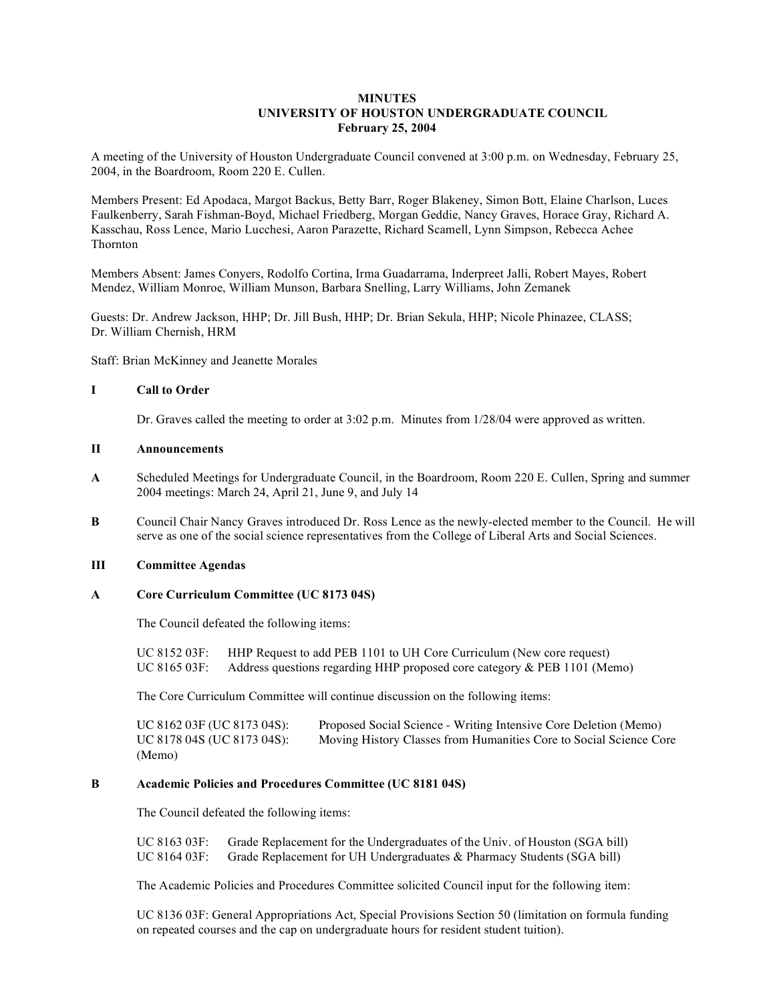# **MINUTES UNIVERSITY OF HOUSTON UNDERGRADUATE COUNCIL February 25, 2004**

A meeting of the University of Houston Undergraduate Council convened at 3:00 p.m. on Wednesday, February 25, 2004, in the Boardroom, Room 220 E. Cullen.

Members Present: Ed Apodaca, Margot Backus, Betty Barr, Roger Blakeney, Simon Bott, Elaine Charlson, Luces Faulkenberry, Sarah Fishman-Boyd, Michael Friedberg, Morgan Geddie, Nancy Graves, Horace Gray, Richard A. Kasschau, Ross Lence, Mario Lucchesi, Aaron Parazette, Richard Scamell, Lynn Simpson, Rebecca Achee Thornton

Members Absent: James Conyers, Rodolfo Cortina, Irma Guadarrama, Inderpreet Jalli, Robert Mayes, Robert Mendez, William Monroe, William Munson, Barbara Snelling, Larry Williams, John Zemanek

Guests: Dr. Andrew Jackson, HHP; Dr. Jill Bush, HHP; Dr. Brian Sekula, HHP; Nicole Phinazee, CLASS; Dr. William Chernish, HRM

Staff: Brian McKinney and Jeanette Morales

## **I Call to Order**

Dr. Graves called the meeting to order at 3:02 p.m. Minutes from  $1/28/04$  were approved as written.

#### **II Announcements**

- **A** Scheduled Meetings for Undergraduate Council, in the Boardroom, Room 220 E. Cullen, Spring and summer 2004 meetings: March 24, April 21, June 9, and July 14
- **B** Council Chair Nancy Graves introduced Dr. Ross Lence as the newly-elected member to the Council. He will serve as one of the social science representatives from the College of Liberal Arts and Social Sciences.

## **III Committee Agendas**

#### **A Core Curriculum Committee (UC 8173 04S)**

The Council defeated the following items:

UC 8152 03F: HHP Request to add PEB 1101 to UH Core Curriculum (New core request) UC 8165 03F: Address questions regarding HHP proposed core category & PEB 1101 (Memo)

The Core Curriculum Committee will continue discussion on the following items:

UC 8162 03F (UC 8173 04S): Proposed Social Science - Writing Intensive Core Deletion (Memo)<br>UC 8178 04S (UC 8173 04S): Moving History Classes from Humanities Core to Social Science Co Moving History Classes from Humanities Core to Social Science Core (Memo)

#### **B Academic Policies and Procedures Committee (UC 8181 04S)**

The Council defeated the following items:

UC 8163 03F: Grade Replacement for the Undergraduates of the Univ. of Houston (SGA bill) UC 8164 03F: Grade Replacement for UH Undergraduates & Pharmacy Students (SGA bill)

The Academic Policies and Procedures Committee solicited Council input for the following item:

UC 8136 03F: General Appropriations Act, Special Provisions Section 50 (limitation on formula funding on repeated courses and the cap on undergraduate hours for resident student tuition).